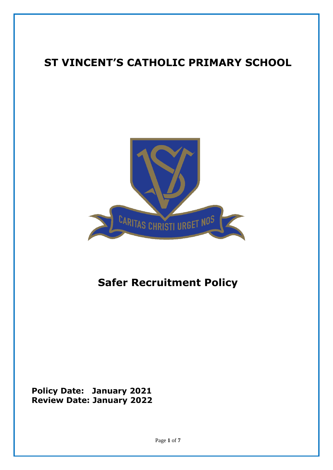# **ST VINCENT'S CATHOLIC PRIMARY SCHOOL**



# **Safer Recruitment Policy**

**Policy Date: January 2021 Review Date: January 2022**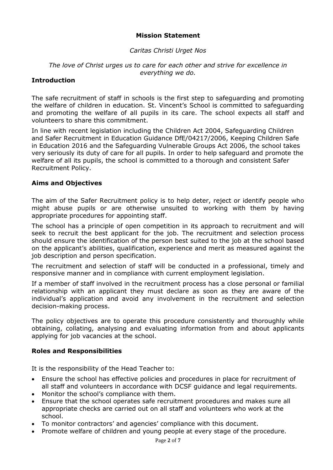# **Mission Statement**

#### *Caritas Christi Urget Nos*

#### *The love of Christ urges us to care for each other and strive for excellence in everything we do.*

#### **Introduction**

The safe recruitment of staff in schools is the first step to safeguarding and promoting the welfare of children in education. St. Vincent's School is committed to safeguarding and promoting the welfare of all pupils in its care. The school expects all staff and volunteers to share this commitment.

In line with recent legislation including the Children Act 2004, Safeguarding Children and Safer Recruitment in Education Guidance DfE/04217/2006, Keeping Children Safe in Education 2016 and the Safeguarding Vulnerable Groups Act 2006, the school takes very seriously its duty of care for all pupils. In order to help safeguard and promote the welfare of all its pupils, the school is committed to a thorough and consistent Safer Recruitment Policy.

#### **Aims and Objectives**

The aim of the Safer Recruitment policy is to help deter, reject or identify people who might abuse pupils or are otherwise unsuited to working with them by having appropriate procedures for appointing staff.

The school has a principle of open competition in its approach to recruitment and will seek to recruit the best applicant for the job. The recruitment and selection process should ensure the identification of the person best suited to the job at the school based on the applicant's abilities, qualification, experience and merit as measured against the job description and person specification.

The recruitment and selection of staff will be conducted in a professional, timely and responsive manner and in compliance with current employment legislation.

If a member of staff involved in the recruitment process has a close personal or familial relationship with an applicant they must declare as soon as they are aware of the individual's application and avoid any involvement in the recruitment and selection decision-making process.

The policy objectives are to operate this procedure consistently and thoroughly while obtaining, collating, analysing and evaluating information from and about applicants applying for job vacancies at the school.

#### **Roles and Responsibilities**

It is the responsibility of the Head Teacher to:

- Ensure the school has effective policies and procedures in place for recruitment of all staff and volunteers in accordance with DCSF guidance and legal requirements.
- Monitor the school's compliance with them.
- Ensure that the school operates safe recruitment procedures and makes sure all appropriate checks are carried out on all staff and volunteers who work at the school.
- To monitor contractors' and agencies' compliance with this document.
- Promote welfare of children and young people at every stage of the procedure.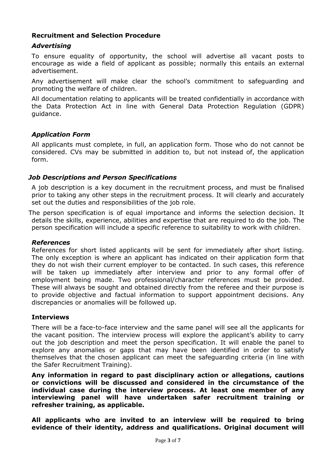## **Recruitment and Selection Procedure**

# *Advertising*

To ensure equality of opportunity, the school will advertise all vacant posts to encourage as wide a field of applicant as possible; normally this entails an external advertisement.

Any advertisement will make clear the school's commitment to safeguarding and promoting the welfare of children.

All documentation relating to applicants will be treated confidentially in accordance with the Data Protection Act in line with General Data Protection Regulation (GDPR) guidance.

## *Application Form*

All applicants must complete, in full, an application form. Those who do not cannot be considered. CVs may be submitted in addition to, but not instead of, the application form.

#### *Job Descriptions and Person Specifications*

A job description is a key document in the recruitment process, and must be finalised prior to taking any other steps in the recruitment process. It will clearly and accurately set out the duties and responsibilities of the job role.

The person specification is of equal importance and informs the selection decision. It details the skills, experience, abilities and expertise that are required to do the job. The person specification will include a specific reference to suitability to work with children.

#### *References*

References for short listed applicants will be sent for immediately after short listing. The only exception is where an applicant has indicated on their application form that they do not wish their current employer to be contacted. In such cases, this reference will be taken up immediately after interview and prior to any formal offer of employment being made. Two professional/character references must be provided. These will always be sought and obtained directly from the referee and their purpose is to provide objective and factual information to support appointment decisions. Any discrepancies or anomalies will be followed up.

#### **Interviews**

There will be a face-to-face interview and the same panel will see all the applicants for the vacant position. The interview process will explore the applicant's ability to carry out the job description and meet the person specification. It will enable the panel to explore any anomalies or gaps that may have been identified in order to satisfy themselves that the chosen applicant can meet the safeguarding criteria (in line with the Safer Recruitment Training).

**Any information in regard to past disciplinary action or allegations, cautions or convictions will be discussed and considered in the circumstance of the individual case during the interview process. At least one member of any interviewing panel will have undertaken safer recruitment training or refresher training, as applicable.**

**All applicants who are invited to an interview will be required to bring evidence of their identity, address and qualifications. Original document will**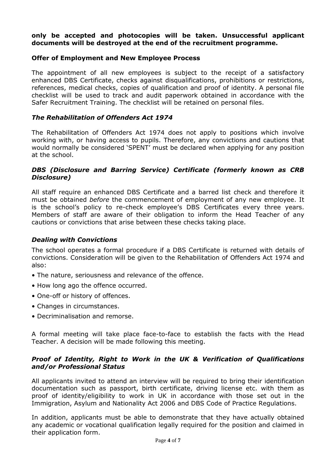#### **only be accepted and photocopies will be taken. Unsuccessful applicant documents will be destroyed at the end of the recruitment programme.**

#### **Offer of Employment and New Employee Process**

The appointment of all new employees is subject to the receipt of a satisfactory enhanced DBS Certificate, checks against disqualifications, prohibitions or restrictions, references, medical checks, copies of qualification and proof of identity. A personal file checklist will be used to track and audit paperwork obtained in accordance with the Safer Recruitment Training. The checklist will be retained on personal files.

#### *The Rehabilitation of Offenders Act 1974*

The Rehabilitation of Offenders Act 1974 does not apply to positions which involve working with, or having access to pupils. Therefore, any convictions and cautions that would normally be considered 'SPENT' must be declared when applying for any position at the school.

#### *DBS (Disclosure and Barring Service) Certificate (formerly known as CRB Disclosure)*

All staff require an enhanced DBS Certificate and a barred list check and therefore it must be obtained *before* the commencement of employment of any new employee. It is the school's policy to re-check employee's DBS Certificates every three years. Members of staff are aware of their obligation to inform the Head Teacher of any cautions or convictions that arise between these checks taking place.

#### *Dealing with Convictions*

The school operates a formal procedure if a DBS Certificate is returned with details of convictions. Consideration will be given to the Rehabilitation of Offenders Act 1974 and also:

- The nature, seriousness and relevance of the offence.
- How long ago the offence occurred.
- One-off or history of offences.
- Changes in circumstances.
- Decriminalisation and remorse.

A formal meeting will take place face-to-face to establish the facts with the Head Teacher. A decision will be made following this meeting.

#### *Proof of Identity, Right to Work in the UK & Verification of Qualifications and/or Professional Status*

All applicants invited to attend an interview will be required to bring their identification documentation such as passport, birth certificate, driving license etc. with them as proof of identity/eligibility to work in UK in accordance with those set out in the Immigration, Asylum and Nationality Act 2006 and DBS Code of Practice Regulations.

In addition, applicants must be able to demonstrate that they have actually obtained any academic or vocational qualification legally required for the position and claimed in their application form.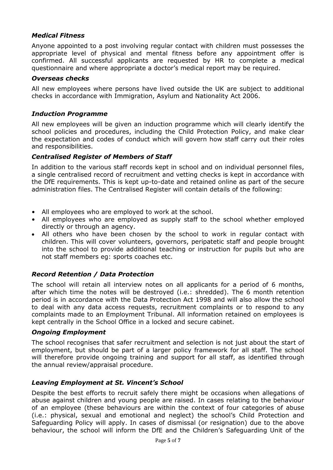## *Medical Fitness*

Anyone appointed to a post involving regular contact with children must possesses the appropriate level of physical and mental fitness before any appointment offer is confirmed. All successful applicants are requested by HR to complete a medical questionnaire and where appropriate a doctor's medical report may be required.

#### *Overseas checks*

All new employees where persons have lived outside the UK are subject to additional checks in accordance with Immigration, Asylum and Nationality Act 2006.

#### *Induction Programme*

All new employees will be given an induction programme which will clearly identify the school policies and procedures, including the Child Protection Policy, and make clear the expectation and codes of conduct which will govern how staff carry out their roles and responsibilities.

#### *Centralised Register of Members of Staff*

In addition to the various staff records kept in school and on individual personnel files, a single centralised record of recruitment and vetting checks is kept in accordance with the DfE requirements. This is kept up-to-date and retained online as part of the secure administration files. The Centralised Register will contain details of the following:

- All employees who are employed to work at the school.
- All employees who are employed as supply staff to the school whether employed directly or through an agency.
- All others who have been chosen by the school to work in regular contact with children. This will cover volunteers, governors, peripatetic staff and people brought into the school to provide additional teaching or instruction for pupils but who are not staff members eg: sports coaches etc.

#### *Record Retention / Data Protection*

The school will retain all interview notes on all applicants for a period of 6 months, after which time the notes will be destroyed (i.e.: shredded). The 6 month retention period is in accordance with the Data Protection Act 1998 and will also allow the school to deal with any data access requests, recruitment complaints or to respond to any complaints made to an Employment Tribunal. All information retained on employees is kept centrally in the School Office in a locked and secure cabinet.

#### *Ongoing Employment*

The school recognises that safer recruitment and selection is not just about the start of employment, but should be part of a larger policy framework for all staff. The school will therefore provide ongoing training and support for all staff, as identified through the annual review/appraisal procedure.

#### *Leaving Employment at St. Vincent's School*

Despite the best efforts to recruit safely there might be occasions when allegations of abuse against children and young people are raised. In cases relating to the behaviour of an employee (these behaviours are within the context of four categories of abuse (i.e.: physical, sexual and emotional and neglect) the school's Child Protection and Safeguarding Policy will apply. In cases of dismissal (or resignation) due to the above behaviour, the school will inform the DfE and the Children's Safeguarding Unit of the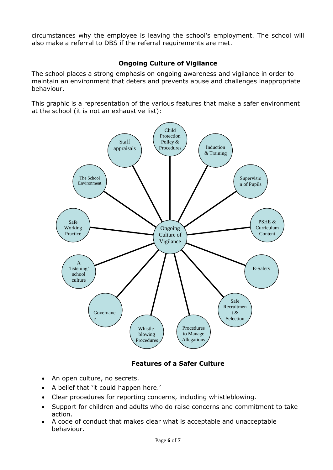circumstances why the employee is leaving the school's employment. The school will also make a referral to DBS if the referral requirements are met.

# **Ongoing Culture of Vigilance**

The school places a strong emphasis on ongoing awareness and vigilance in order to maintain an environment that deters and prevents abuse and challenges inappropriate behaviour.

This graphic is a representation of the various features that make a safer environment at the school (it is not an exhaustive list):



# **Features of a Safer Culture**

- An open culture, no secrets.
- A belief that 'it could happen here.'
- Clear procedures for reporting concerns, including whistleblowing.
- Support for children and adults who do raise concerns and commitment to take action.
- A code of conduct that makes clear what is acceptable and unacceptable behaviour.